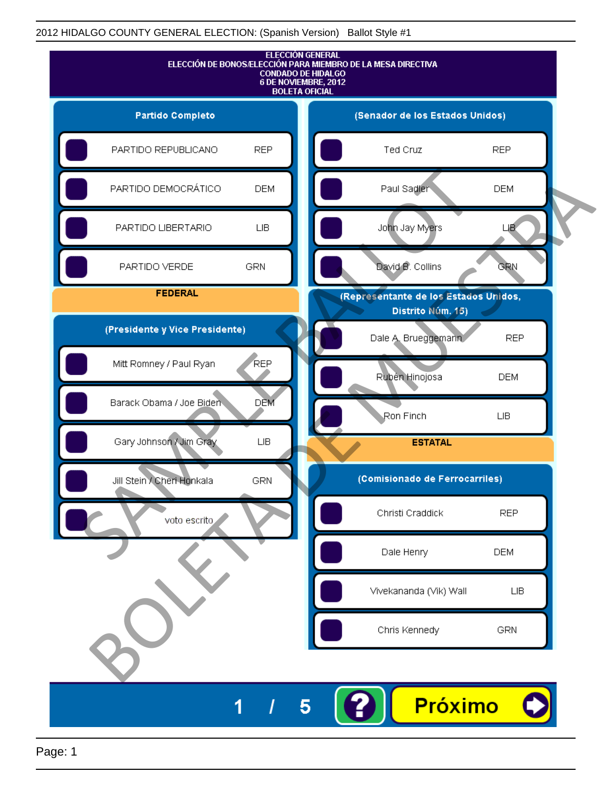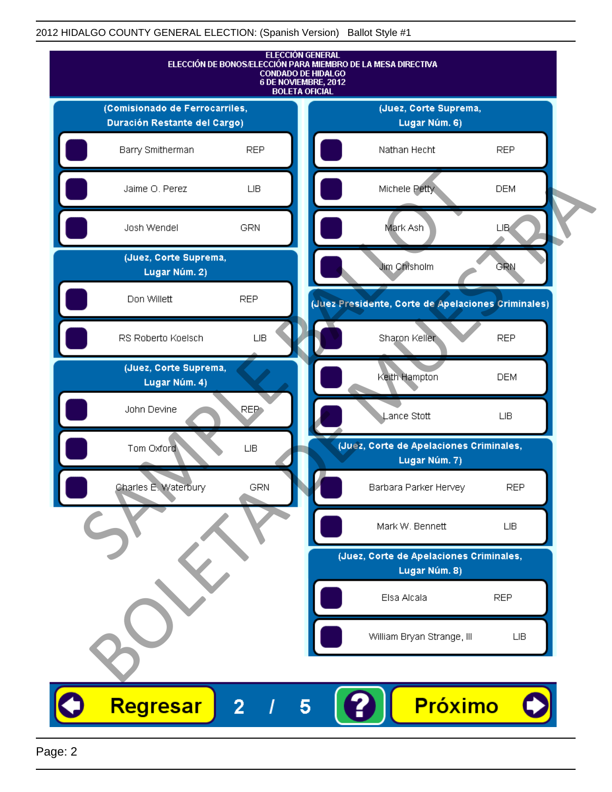|                                        |                  | <b>ELECCIÓN GENERAL</b><br>ELECCIÓN DE BONOS/ELECCIÓN PARA MIEMBRO DE LA MESA DIRECTIVA<br><b>CONDADO DE HIDALGO</b><br>6 DE NOVIEMBRE, 2012<br><b>BOLETA OFICIAL</b> |  |
|----------------------------------------|------------------|-----------------------------------------------------------------------------------------------------------------------------------------------------------------------|--|
| (Comisionado de Ferrocarriles,         |                  | (Juez, Corte Suprema,                                                                                                                                                 |  |
| Duración Restante del Cargo)           |                  | Lugar Núm. 6)                                                                                                                                                         |  |
| Barry Smitherman                       | <b>REP</b>       | <b>REP</b><br>Nathan Hecht                                                                                                                                            |  |
| Jaime O. Perez                         | ${\sf LIB}$      | Michele Petty<br><b>DEM</b>                                                                                                                                           |  |
| Josh Wendel                            | <b>GRN</b>       | Mark Ash<br><b>LIB</b>                                                                                                                                                |  |
| (Juez, Corte Suprema,<br>Lugar Núm. 2) |                  | Jim Chisholm<br><b>GRN</b>                                                                                                                                            |  |
| Don Willett                            | <b>REP</b>       | (Juez Presidente, Corte de Apelaciones Criminales)                                                                                                                    |  |
| RS Roberto Koelsch                     | ${\sf LB}$       | Sharon Keller<br><b>REP</b>                                                                                                                                           |  |
| (Juez, Corte Suprema,<br>Lugar Núm. 4) |                  | Keith Hampton<br><b>DEM</b>                                                                                                                                           |  |
| John Devine                            | REP <sub>1</sub> | Lance Stott<br>LIВ                                                                                                                                                    |  |
| Tom Oxford                             | <b>LIB</b>       | (Juéz, Corte de Apelaciones Criminales,<br>Lugar Núm. 7)                                                                                                              |  |
| Charles E. Waterbury                   | <b>GRN</b>       | <b>REP</b><br>Barbara Parker Hervey                                                                                                                                   |  |
|                                        |                  | Mark W. Bennett<br>LIB.                                                                                                                                               |  |
|                                        |                  | (Juez, Corte de Apelaciones Criminales,                                                                                                                               |  |
|                                        |                  | Lugar Núm. 8)                                                                                                                                                         |  |
|                                        |                  | Elsa Alcala<br><b>REP</b>                                                                                                                                             |  |
|                                        |                  | William Bryan Strange, III<br>LIВ                                                                                                                                     |  |
|                                        |                  |                                                                                                                                                                       |  |
| Regresar                               | $\overline{2}$   | Próximo<br>5                                                                                                                                                          |  |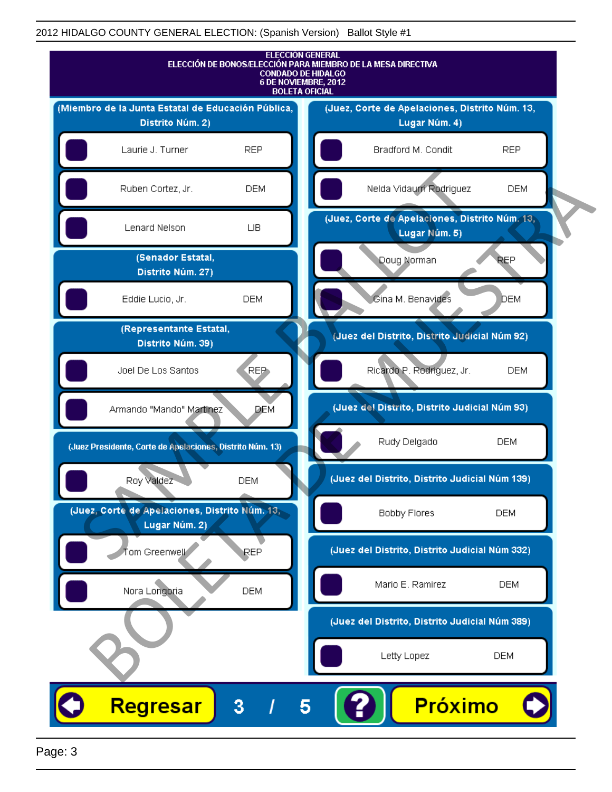

Page: 3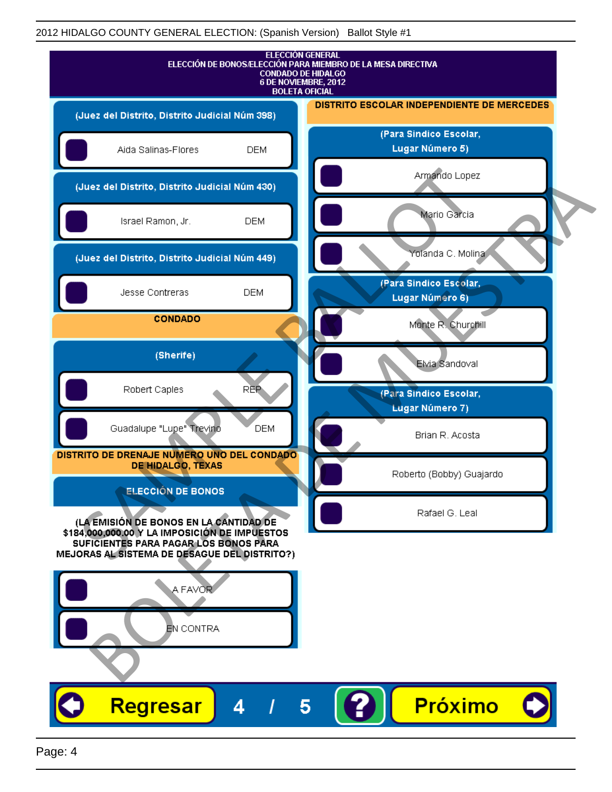| <b>ELECCIÓN GENERAL</b><br>ELECCIÓN DE BONOS/ELECCIÓN PARA MIEMBRO DE LA MESA DIRECTIVA<br><b>CONDADO DE HIDALGO</b><br>6 DE NOVIEMBRE, 2012<br><b>BOLETA OFICIAL</b> |                                            |  |  |  |
|-----------------------------------------------------------------------------------------------------------------------------------------------------------------------|--------------------------------------------|--|--|--|
| (Juez del Distrito, Distrito Judicial Núm 398)                                                                                                                        | DISTRITO ESCOLAR INDEPENDIENTE DE MERCEDES |  |  |  |
| <b>DEM</b><br>Aida Salinas-Flores                                                                                                                                     | (Para Sindico Escolar,<br>Lugar Número 5)  |  |  |  |
| (Juez del Distrito, Distrito Judicial Núm 430)                                                                                                                        | Armando Lopez                              |  |  |  |
| Israel Ramon, Jr.<br><b>DEM</b>                                                                                                                                       | Mario Garcia                               |  |  |  |
| (Juez del Distrito, Distrito Judicial Núm 449)                                                                                                                        | Yolanda C. Molina                          |  |  |  |
| Jesse Contreras<br><b>DEM</b>                                                                                                                                         | (Para Sindico Escolar,<br>Lugar Número 6)  |  |  |  |
| <b>CONDADO</b>                                                                                                                                                        | Monte R. Churchill                         |  |  |  |
| (Sherife)                                                                                                                                                             | Elvia Sandoval                             |  |  |  |
| <b>REP</b><br>Robert Caples                                                                                                                                           | (Para Sindico Escolar,<br>Lugar Número 7)  |  |  |  |
| Guadalupe "Lupe" Trevino<br><b>DEM</b>                                                                                                                                | Brian R. Acosta                            |  |  |  |
| DISTRITO DE DRENAJE NUMERO UNO DEL CONDADO<br><b>DE HIDALGO, TEXAS</b>                                                                                                | Roberto (Bobby) Guajardo                   |  |  |  |
| <b>ELECCIÓN DE BONOS</b><br>(LA EMISIÓN DE BONOS EN LA CANTIDAD DE                                                                                                    | Rafael G. Leal                             |  |  |  |
| \$184,000,000.00 Y LA IMPOSICIÓN DE IMPUESTOS<br>SUFICIENTES PARA PAGAR LOS BONOS PARA<br>MEJORAS AL SISTEMA DE DESAGUE DEL DISTRITO?)                                |                                            |  |  |  |
| A FAVOR<br>EN CONTRA                                                                                                                                                  |                                            |  |  |  |
|                                                                                                                                                                       |                                            |  |  |  |
| <b>Regresar</b><br>Δ                                                                                                                                                  | <b>Próximo</b><br>5                        |  |  |  |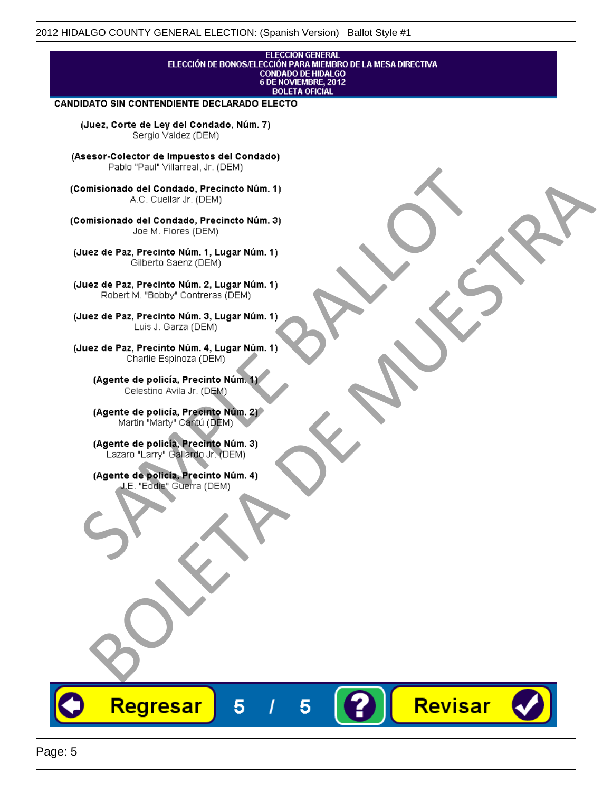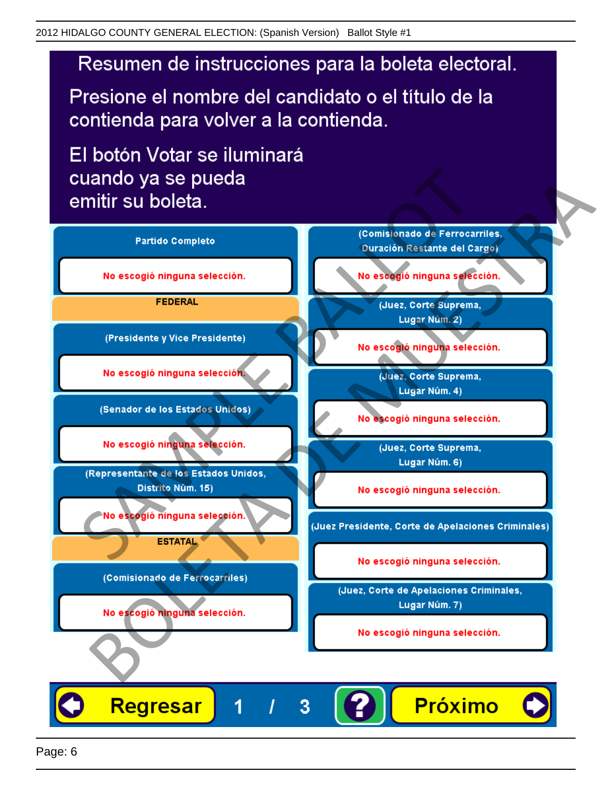# Resumen de instrucciones para la boleta electoral.

Presione el nombre del candidato o el título de la contienda para volver a la contienda.

El botón Votar se iluminará

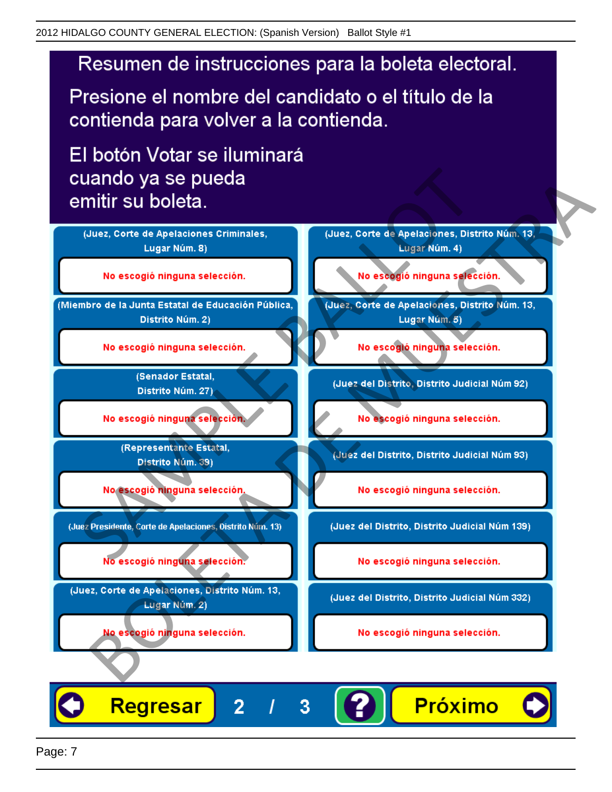# Resumen de instrucciones para la boleta electoral.

Presione el nombre del candidato o el título de la contienda para volver a la contienda.

El botón Votar se iluminará